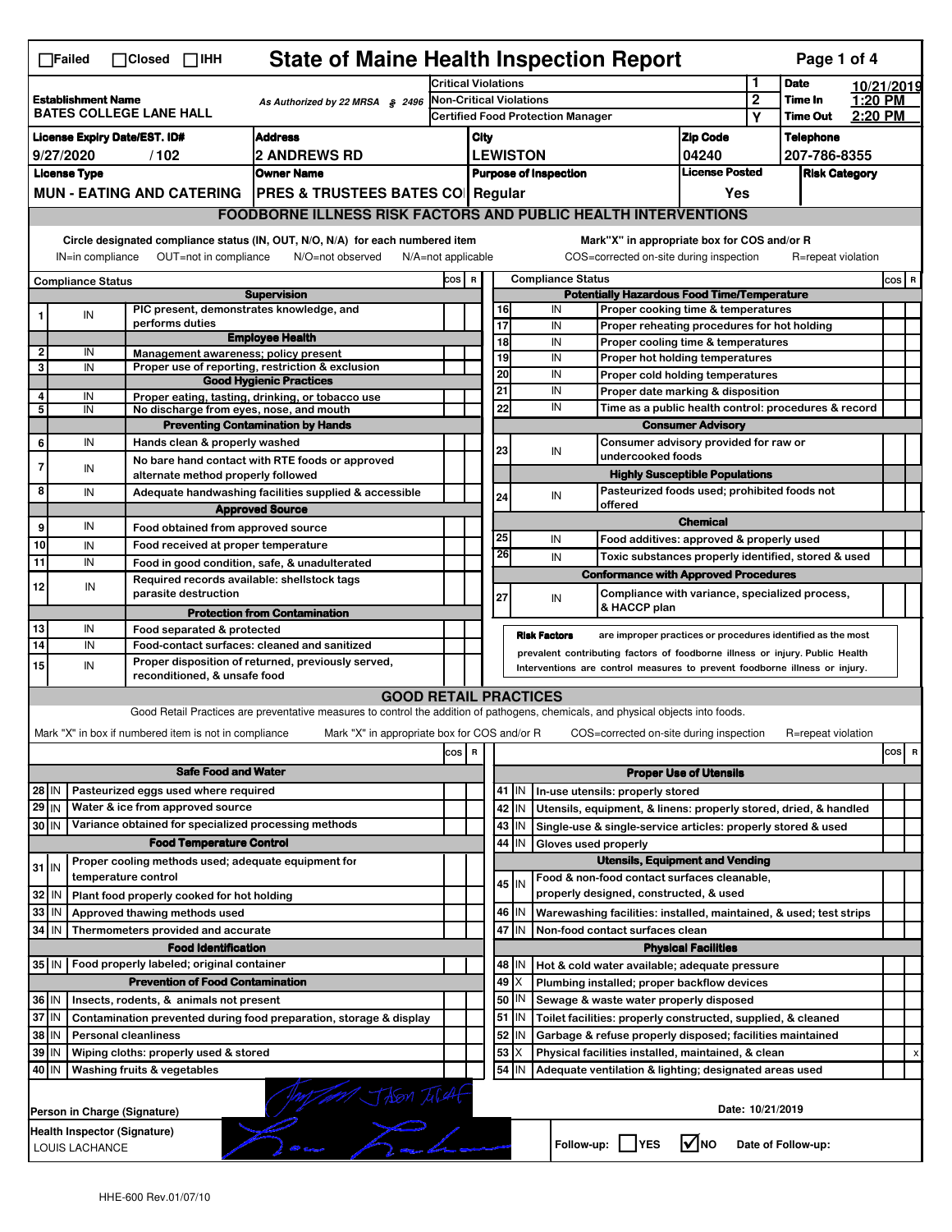| <b>State of Maine Health Inspection Report</b><br>Page 1 of 4<br>$\Box$ Failed<br>$\Box$ Closed $\Box$ IHH |                                                                                                                                                                           |  |                                                                            |                                                                                                                                   |       |  |                          |                 |                                                                              |                                                |                                                                                          |                  |                    |                      |     |   |
|------------------------------------------------------------------------------------------------------------|---------------------------------------------------------------------------------------------------------------------------------------------------------------------------|--|----------------------------------------------------------------------------|-----------------------------------------------------------------------------------------------------------------------------------|-------|--|--------------------------|-----------------|------------------------------------------------------------------------------|------------------------------------------------|------------------------------------------------------------------------------------------|------------------|--------------------|----------------------|-----|---|
|                                                                                                            |                                                                                                                                                                           |  |                                                                            | <b>Critical Violations</b>                                                                                                        |       |  |                          |                 |                                                                              | 1                                              | <b>Date</b>                                                                              | 10/21/2019       |                    |                      |     |   |
| <b>Establishment Name</b><br>As Authorized by 22 MRSA § 2496<br><b>BATES COLLEGE LANE HALL</b>             |                                                                                                                                                                           |  | <b>Non-Critical Violations</b><br><b>Certified Food Protection Manager</b> |                                                                                                                                   |       |  |                          |                 | $\mathbf 2$<br>Y                                                             | Time In<br><b>Time Out</b>                     | 1:20 PM<br>2:20 PM                                                                       |                  |                    |                      |     |   |
|                                                                                                            |                                                                                                                                                                           |  |                                                                            |                                                                                                                                   | City  |  |                          |                 |                                                                              | <b>Zip Code</b>                                |                                                                                          | <b>Telephone</b> |                    |                      |     |   |
| <b>License Expiry Date/EST. ID#</b><br><b>Address</b><br><b>2 ANDREWS RD</b><br>9/27/2020<br>/102          |                                                                                                                                                                           |  |                                                                            |                                                                                                                                   |       |  | <b>LEWISTON</b>          |                 |                                                                              | 04240                                          |                                                                                          | 207-786-8355     |                    |                      |     |   |
|                                                                                                            | <b>License Type</b>                                                                                                                                                       |  |                                                                            | <b>Owner Name</b>                                                                                                                 |       |  |                          |                 | <b>Purpose of Inspection</b>                                                 |                                                | <b>License Posted</b>                                                                    |                  |                    | <b>Risk Category</b> |     |   |
|                                                                                                            |                                                                                                                                                                           |  |                                                                            | MUN - EATING AND CATERING   PRES & TRUSTEES BATES CO   Regular                                                                    |       |  |                          |                 |                                                                              |                                                | Yes                                                                                      |                  |                    |                      |     |   |
|                                                                                                            |                                                                                                                                                                           |  |                                                                            | <b>FOODBORNE ILLNESS RISK FACTORS AND PUBLIC HEALTH INTERVENTIONS</b>                                                             |       |  |                          |                 |                                                                              |                                                |                                                                                          |                  |                    |                      |     |   |
|                                                                                                            |                                                                                                                                                                           |  |                                                                            |                                                                                                                                   |       |  |                          |                 |                                                                              |                                                |                                                                                          |                  |                    |                      |     |   |
|                                                                                                            | Circle designated compliance status (IN, OUT, N/O, N/A) for each numbered item<br>OUT=not in compliance<br>IN=in compliance<br>N/O=not observed<br>$N/A = not$ applicable |  |                                                                            |                                                                                                                                   |       |  |                          |                 |                                                                              |                                                | Mark"X" in appropriate box for COS and/or R<br>COS=corrected on-site during inspection   |                  | R=repeat violation |                      |     |   |
| Compliance Status                                                                                          |                                                                                                                                                                           |  | COS R                                                                      |                                                                                                                                   |       |  | <b>Compliance Status</b> |                 |                                                                              |                                                |                                                                                          |                  | $cos$ R            |                      |     |   |
|                                                                                                            |                                                                                                                                                                           |  | PIC present, demonstrates knowledge, and                                   | <b>Supervision</b>                                                                                                                |       |  | 16                       |                 | IN                                                                           |                                                | <b>Potentially Hazardous Food Time/Temperature</b><br>Proper cooking time & temperatures |                  |                    |                      |     |   |
| 1                                                                                                          | IN                                                                                                                                                                        |  | performs duties                                                            |                                                                                                                                   |       |  | 17                       |                 | IN                                                                           |                                                | Proper reheating procedures for hot holding                                              |                  |                    |                      |     |   |
|                                                                                                            |                                                                                                                                                                           |  |                                                                            | <b>Employee Health</b>                                                                                                            |       |  | 18                       |                 | IN                                                                           |                                                | Proper cooling time & temperatures                                                       |                  |                    |                      |     |   |
| 2<br>3                                                                                                     | IN<br>IN                                                                                                                                                                  |  | Management awareness: policy present                                       | Proper use of reporting, restriction & exclusion                                                                                  |       |  | 19                       |                 | IN                                                                           |                                                | Proper hot holding temperatures                                                          |                  |                    |                      |     |   |
|                                                                                                            |                                                                                                                                                                           |  |                                                                            | <b>Good Hygienic Practices</b>                                                                                                    |       |  | 20                       |                 | IN                                                                           |                                                | Proper cold holding temperatures                                                         |                  |                    |                      |     |   |
| 4                                                                                                          | IN                                                                                                                                                                        |  |                                                                            | Proper eating, tasting, drinking, or tobacco use                                                                                  |       |  | 21                       |                 | IN                                                                           |                                                | Proper date marking & disposition                                                        |                  |                    |                      |     |   |
| 5                                                                                                          | IN                                                                                                                                                                        |  | No discharge from eyes, nose, and mouth                                    |                                                                                                                                   |       |  | 22                       |                 | IN                                                                           |                                                | Time as a public health control: procedures & record                                     |                  |                    |                      |     |   |
|                                                                                                            | IN                                                                                                                                                                        |  | Hands clean & properly washed                                              | <b>Preventing Contamination by Hands</b>                                                                                          |       |  |                          |                 |                                                                              |                                                | <b>Consumer Advisory</b><br>Consumer advisory provided for raw or                        |                  |                    |                      |     |   |
| 6                                                                                                          |                                                                                                                                                                           |  |                                                                            | No bare hand contact with RTE foods or approved                                                                                   |       |  | 23                       |                 | IN                                                                           | undercooked foods                              |                                                                                          |                  |                    |                      |     |   |
| 7                                                                                                          | IN                                                                                                                                                                        |  | alternate method properly followed                                         |                                                                                                                                   |       |  |                          |                 |                                                                              |                                                | <b>Highly Susceptible Populations</b>                                                    |                  |                    |                      |     |   |
| 8                                                                                                          | IN                                                                                                                                                                        |  |                                                                            | Adequate handwashing facilities supplied & accessible                                                                             |       |  | 24                       |                 | IN                                                                           |                                                | Pasteurized foods used; prohibited foods not                                             |                  |                    |                      |     |   |
|                                                                                                            |                                                                                                                                                                           |  |                                                                            | <b>Approved Source</b>                                                                                                            |       |  |                          |                 |                                                                              | offered                                        |                                                                                          |                  |                    |                      |     |   |
| 9                                                                                                          | IN                                                                                                                                                                        |  | Food obtained from approved source                                         |                                                                                                                                   |       |  |                          |                 |                                                                              |                                                | <b>Chemical</b>                                                                          |                  |                    |                      |     |   |
| 10                                                                                                         | IN                                                                                                                                                                        |  | Food received at proper temperature                                        |                                                                                                                                   |       |  | 25<br>26                 |                 | IN                                                                           |                                                | Food additives: approved & properly used                                                 |                  |                    |                      |     |   |
| 11                                                                                                         | IN                                                                                                                                                                        |  |                                                                            | Food in good condition, safe, & unadulterated                                                                                     |       |  |                          |                 | IN                                                                           |                                                | Toxic substances properly identified, stored & used                                      |                  |                    |                      |     |   |
| 12                                                                                                         | IN                                                                                                                                                                        |  | Required records available: shellstock tags                                |                                                                                                                                   |       |  |                          |                 |                                                                              |                                                | <b>Conformance with Approved Procedures</b>                                              |                  |                    |                      |     |   |
|                                                                                                            |                                                                                                                                                                           |  | parasite destruction                                                       |                                                                                                                                   |       |  | 27                       |                 | IN                                                                           | Compliance with variance, specialized process, |                                                                                          |                  |                    |                      |     |   |
|                                                                                                            |                                                                                                                                                                           |  |                                                                            |                                                                                                                                   |       |  |                          |                 |                                                                              | & HACCP plan                                   |                                                                                          |                  |                    |                      |     |   |
|                                                                                                            |                                                                                                                                                                           |  |                                                                            | <b>Protection from Contamination</b>                                                                                              |       |  |                          |                 |                                                                              |                                                |                                                                                          |                  |                    |                      |     |   |
| 13<br>14                                                                                                   | IN<br>IN                                                                                                                                                                  |  | Food separated & protected<br>Food-contact surfaces: cleaned and sanitized |                                                                                                                                   |       |  |                          |                 | <b>Risk Factors</b>                                                          |                                                | are improper practices or procedures identified as the most                              |                  |                    |                      |     |   |
| 15                                                                                                         | IN                                                                                                                                                                        |  |                                                                            | Proper disposition of returned, previously served,                                                                                |       |  |                          |                 | prevalent contributing factors of foodborne illness or injury. Public Health |                                                |                                                                                          |                  |                    |                      |     |   |
|                                                                                                            |                                                                                                                                                                           |  | reconditioned, & unsafe food                                               |                                                                                                                                   |       |  |                          |                 | Interventions are control measures to prevent foodborne illness or injury.   |                                                |                                                                                          |                  |                    |                      |     |   |
|                                                                                                            |                                                                                                                                                                           |  |                                                                            | <b>GOOD RETAIL PRACTICES</b>                                                                                                      |       |  |                          |                 |                                                                              |                                                |                                                                                          |                  |                    |                      |     |   |
|                                                                                                            |                                                                                                                                                                           |  |                                                                            | Good Retail Practices are preventative measures to control the addition of pathogens, chemicals, and physical objects into foods. |       |  |                          |                 |                                                                              |                                                |                                                                                          |                  |                    |                      |     |   |
|                                                                                                            |                                                                                                                                                                           |  | Mark "X" in box if numbered item is not in compliance                      | Mark "X" in appropriate box for COS and/or R                                                                                      |       |  |                          |                 |                                                                              |                                                | COS=corrected on-site during inspection                                                  |                  | R=repeat violation |                      |     |   |
|                                                                                                            |                                                                                                                                                                           |  |                                                                            |                                                                                                                                   | cos R |  |                          |                 |                                                                              |                                                |                                                                                          |                  |                    |                      | cos | R |
|                                                                                                            |                                                                                                                                                                           |  | <b>Safe Food and Water</b>                                                 |                                                                                                                                   |       |  |                          |                 |                                                                              |                                                | <b>Proper Use of Utensils</b>                                                            |                  |                    |                      |     |   |
| 28 IN                                                                                                      |                                                                                                                                                                           |  | Pasteurized eggs used where required                                       |                                                                                                                                   |       |  |                          | 41 J IN         | In-use utensils: properly stored                                             |                                                |                                                                                          |                  |                    |                      |     |   |
| 29 IN                                                                                                      |                                                                                                                                                                           |  | Water & ice from approved source                                           |                                                                                                                                   |       |  |                          | 42 IN           | Utensils, equipment, & linens: properly stored, dried, & handled             |                                                |                                                                                          |                  |                    |                      |     |   |
| 30 IN                                                                                                      |                                                                                                                                                                           |  | Variance obtained for specialized processing methods                       |                                                                                                                                   |       |  |                          | 43 IN           | Single-use & single-service articles: properly stored & used                 |                                                |                                                                                          |                  |                    |                      |     |   |
|                                                                                                            |                                                                                                                                                                           |  | <b>Food Temperature Control</b>                                            |                                                                                                                                   |       |  | 44                       | IN              | Gloves used properly                                                         |                                                | <b>Utensils, Equipment and Vending</b>                                                   |                  |                    |                      |     |   |
| $31$ IN                                                                                                    |                                                                                                                                                                           |  | Proper cooling methods used; adequate equipment for<br>temperature control |                                                                                                                                   |       |  |                          |                 | Food & non-food contact surfaces cleanable,                                  |                                                |                                                                                          |                  |                    |                      |     |   |
| 32 IN                                                                                                      |                                                                                                                                                                           |  | Plant food properly cooked for hot holding                                 |                                                                                                                                   |       |  |                          | 45 IN           | properly designed, constructed, & used                                       |                                                |                                                                                          |                  |                    |                      |     |   |
| 33 IN                                                                                                      |                                                                                                                                                                           |  | Approved thawing methods used                                              |                                                                                                                                   |       |  |                          | 46 IN           | Warewashing facilities: installed, maintained, & used; test strips           |                                                |                                                                                          |                  |                    |                      |     |   |
| 34 IN                                                                                                      |                                                                                                                                                                           |  | Thermometers provided and accurate                                         |                                                                                                                                   |       |  |                          | 47 IN           | Non-food contact surfaces clean                                              |                                                |                                                                                          |                  |                    |                      |     |   |
|                                                                                                            |                                                                                                                                                                           |  | <b>Food Identification</b>                                                 |                                                                                                                                   |       |  |                          |                 |                                                                              |                                                | <b>Physical Facilities</b>                                                               |                  |                    |                      |     |   |
|                                                                                                            |                                                                                                                                                                           |  | 35 IN   Food properly labeled; original container                          |                                                                                                                                   |       |  | 48                       | IN              | Hot & cold water available; adequate pressure                                |                                                |                                                                                          |                  |                    |                      |     |   |
|                                                                                                            |                                                                                                                                                                           |  | <b>Prevention of Food Contamination</b>                                    |                                                                                                                                   |       |  | 49                       | ΙX              | Plumbing installed; proper backflow devices                                  |                                                |                                                                                          |                  |                    |                      |     |   |
| 36 IN                                                                                                      |                                                                                                                                                                           |  | Insects, rodents, & animals not present                                    |                                                                                                                                   |       |  | 50                       | IN              | Sewage & waste water properly disposed                                       |                                                |                                                                                          |                  |                    |                      |     |   |
| 37 IN                                                                                                      |                                                                                                                                                                           |  |                                                                            | Contamination prevented during food preparation, storage & display                                                                |       |  |                          | $51$ $\vert$ IN | Toilet facilities: properly constructed, supplied, & cleaned                 |                                                |                                                                                          |                  |                    |                      |     |   |
| 38 IN                                                                                                      |                                                                                                                                                                           |  | <b>Personal cleanliness</b>                                                |                                                                                                                                   |       |  | 52                       | IN              | Garbage & refuse properly disposed; facilities maintained                    |                                                |                                                                                          |                  |                    |                      |     |   |
| 39 IN                                                                                                      |                                                                                                                                                                           |  | Wiping cloths: properly used & stored                                      |                                                                                                                                   |       |  | 53                       | X               | Physical facilities installed, maintained, & clean                           |                                                |                                                                                          |                  |                    |                      |     |   |
| 40 IN                                                                                                      |                                                                                                                                                                           |  | Washing fruits & vegetables                                                |                                                                                                                                   |       |  |                          | 54 IN           | Adequate ventilation & lighting; designated areas used                       |                                                |                                                                                          |                  |                    |                      |     |   |
|                                                                                                            |                                                                                                                                                                           |  |                                                                            |                                                                                                                                   |       |  |                          |                 |                                                                              |                                                |                                                                                          |                  |                    |                      |     |   |
|                                                                                                            |                                                                                                                                                                           |  | Person in Charge (Signature)                                               |                                                                                                                                   |       |  |                          |                 |                                                                              |                                                | Date: 10/21/2019                                                                         |                  |                    |                      |     |   |
|                                                                                                            | Health Inspector (Signature)<br>LOUIS LACHANCE                                                                                                                            |  |                                                                            | <b>AM TASM TILAE</b>                                                                                                              |       |  |                          |                 | Follow-up:                                                                   | <b>IYES</b>                                    | $\sqrt{N}$ NO                                                                            |                  | Date of Follow-up: |                      |     |   |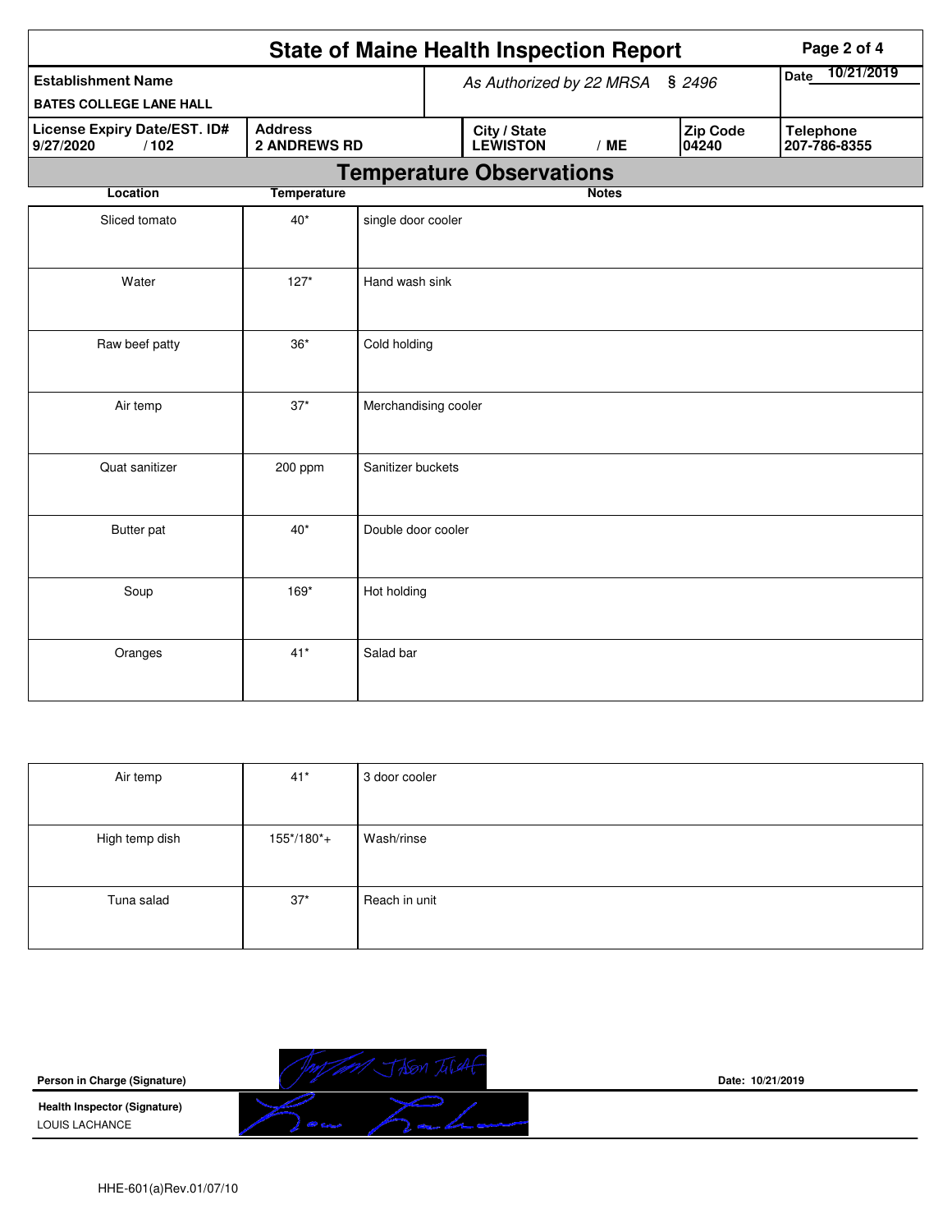|                                                                                            | Page 2 of 4        |                          |                                 |              |                   |                                  |
|--------------------------------------------------------------------------------------------|--------------------|--------------------------|---------------------------------|--------------|-------------------|----------------------------------|
| <b>Establishment Name</b><br><b>BATES COLLEGE LANE HALL</b>                                |                    | As Authorized by 22 MRSA | 10/21/2019<br>Date              |              |                   |                                  |
| <b>Address</b><br>License Expiry Date/EST. ID#<br><b>2 ANDREWS RD</b><br>9/27/2020<br>/102 |                    |                          | City / State<br><b>LEWISTON</b> | /ME          | Zip Code<br>04240 | <b>Telephone</b><br>207-786-8355 |
|                                                                                            |                    |                          | <b>Temperature Observations</b> |              |                   |                                  |
| Location                                                                                   | <b>Temperature</b> |                          |                                 | <b>Notes</b> |                   |                                  |
| Sliced tomato                                                                              | $40*$              | single door cooler       |                                 |              |                   |                                  |
| Water                                                                                      | $127*$             | Hand wash sink           |                                 |              |                   |                                  |
| Cold holding<br>Raw beef patty<br>$36*$                                                    |                    |                          |                                 |              |                   |                                  |
| Air temp                                                                                   | $37*$              | Merchandising cooler     |                                 |              |                   |                                  |
| Quat sanitizer                                                                             | 200 ppm            | Sanitizer buckets        |                                 |              |                   |                                  |
| Butter pat                                                                                 | $40*$              | Double door cooler       |                                 |              |                   |                                  |
| Soup                                                                                       | 169*               | Hot holding              |                                 |              |                   |                                  |
| Oranges                                                                                    | $41*$              | Salad bar                |                                 |              |                   |                                  |

| Air temp       | $41*$      | 3 door cooler |
|----------------|------------|---------------|
|                |            |               |
| High temp dish | 155*/180*+ | Wash/rinse    |
|                |            |               |
| Tuna salad     | $37*$      | Reach in unit |
|                |            |               |

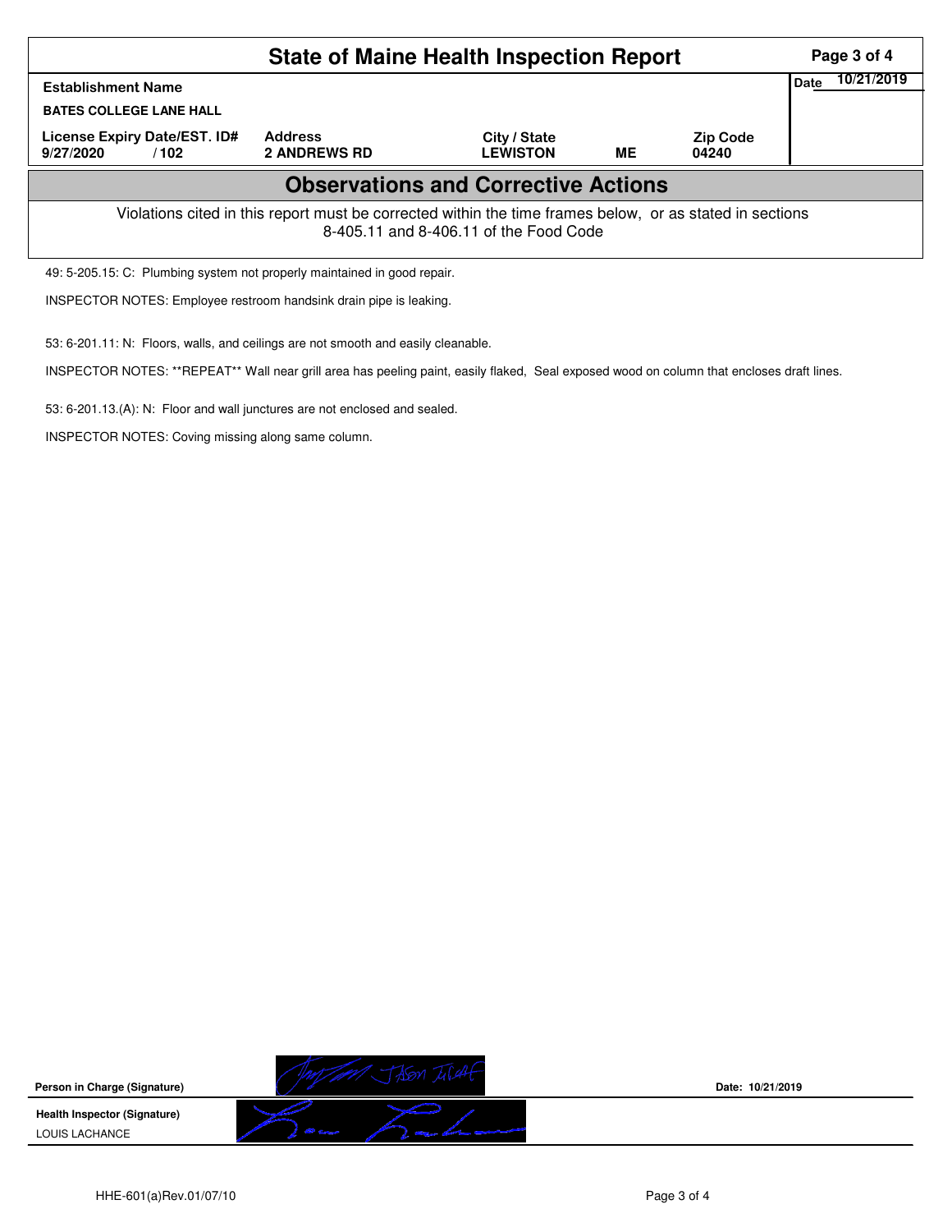|                                                                                                                                                    | Page 3 of 4                           |                                 |    |                          |                    |  |  |  |  |  |
|----------------------------------------------------------------------------------------------------------------------------------------------------|---------------------------------------|---------------------------------|----|--------------------------|--------------------|--|--|--|--|--|
| <b>Establishment Name</b><br><b>BATES COLLEGE LANE HALL</b>                                                                                        |                                       |                                 |    |                          | 10/21/2019<br>Date |  |  |  |  |  |
| License Expiry Date/EST. ID#<br>9/27/2020<br>/102                                                                                                  | <b>Address</b><br><b>2 ANDREWS RD</b> | City / State<br><b>LEWISTON</b> | ME | <b>Zip Code</b><br>04240 |                    |  |  |  |  |  |
| <b>Observations and Corrective Actions</b>                                                                                                         |                                       |                                 |    |                          |                    |  |  |  |  |  |
| Violations cited in this report must be corrected within the time frames below, or as stated in sections<br>8-405.11 and 8-406.11 of the Food Code |                                       |                                 |    |                          |                    |  |  |  |  |  |
| 49: 5-205.15: C: Plumbing system not properly maintained in good repair.                                                                           |                                       |                                 |    |                          |                    |  |  |  |  |  |

INSPECTOR NOTES: Employee restroom handsink drain pipe is leaking.

53: 6-201.11: N: Floors, walls, and ceilings are not smooth and easily cleanable.

INSPECTOR NOTES: \*\*REPEAT\*\* Wall near grill area has peeling paint, easily flaked, Seal exposed wood on column that encloses draft lines.

53: 6-201.13.(A): N: Floor and wall junctures are not enclosed and sealed.

INSPECTOR NOTES: Coving missing along same column.



**Date: 10/21/2019**

HHE-601(a)Rev.01/07/10 **Page 3 of 4**